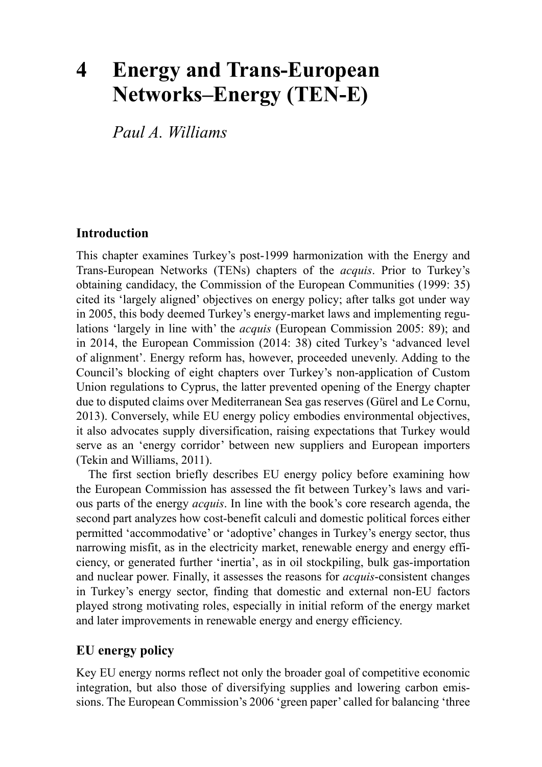# **Energy and Trans-European [Networks–Energy \(TEN-E\)](#page--1-0)  4**

 *Paul A. Williams* 

## **Introduction**

 This chapter examines Turkey's post-1999 harmonization with the Energy and Trans-European Networks (TENs) chapters of the *acquis* . Prior to Turkey's obtaining candidacy, the Commission of the European Communities (1999: 35) cited its 'largely aligned' objectives on energy policy; after talks got under way in 2005, this body deemed Turkey's energy-market laws and implementing regulations 'largely in line with' the *acquis* (European Commission 2005: 89); and in 2014, the European Commission (2014: 38) cited Turkey's 'advanced level of alignment'. Energy reform has, however, proceeded unevenly. Adding to the Council's blocking of eight chapters over Turkey's non-application of Custom Union regulations to Cyprus, the latter prevented opening of the Energy chapter due to disputed claims over Mediterranean Sea gas reserves (Gürel and Le Cornu, 2013). Conversely, while EU energy policy embodies environmental objectives, it also advocates supply diversification, raising expectations that Turkey would serve as an 'energy corridor' between new suppliers and European importers (Tekin and Williams, 2011).

 The first section briefly describes EU energy policy before examining how the European Commission has assessed the fit between Turkey's laws and various parts of the energy *acquis* . In line with the book's core research agenda, the second part analyzes how cost-benefit calculi and domestic political forces either permitted 'accommodative' or 'adoptive' changes in Turkey's energy sector, thus narrowing misfit, as in the electricity market, renewable energy and energy efficiency, or generated further 'inertia', as in oil stockpiling, bulk gas-importation and nuclear power. Finally, it assesses the reasons for *acquis* -consistent changes in Turkey's energy sector, finding that domestic and external non-EU factors played strong motivating roles, especially in initial reform of the energy market and later improvements in renewable energy and energy efficiency.

### **EU energy policy**

 Key EU energy norms reflect not only the broader goal of competitive economic integration, but also those of diversifying supplies and lowering carbon emissions. The European Commission's 2006 'green paper' called for balancing 'three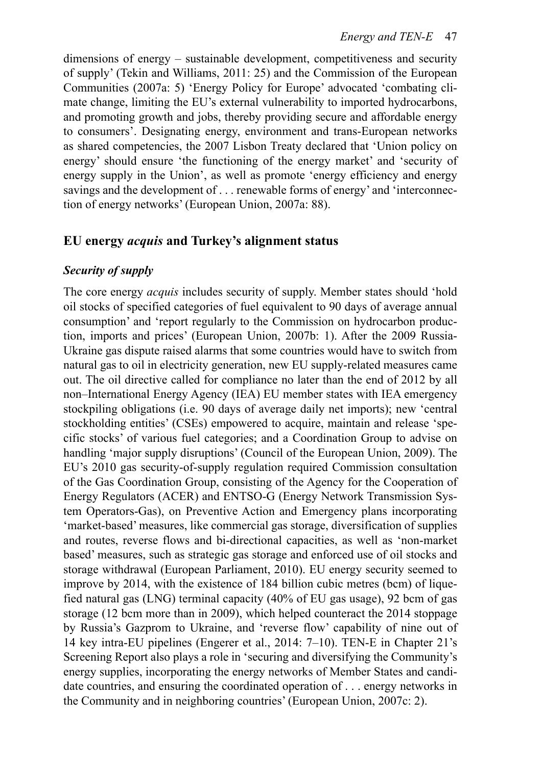dimensions of energy – sustainable development, competitiveness and security of supply' (Tekin and Williams, 2011: 25) and the Commission of the European Communities (2007a: 5) 'Energy Policy for Europe' advocated 'combating climate change, limiting the EU's external vulnerability to imported hydrocarbons, and promoting growth and jobs, thereby providing secure and affordable energy to consumers'. Designating energy, environment and trans-European networks as shared competencies, the 2007 Lisbon Treaty declared that 'Union policy on energy' should ensure 'the functioning of the energy market' and 'security of energy supply in the Union', as well as promote 'energy efficiency and energy savings and the development of . . . renewable forms of energy' and 'interconnection of energy networks' (European Union, 2007a: 88).

# **EU energy** *acquis* **and Turkey's alignment status**

# *Security of supply*

 The core energy *acquis* includes security of supply. Member states should 'hold oil stocks of specified categories of fuel equivalent to 90 days of average annual consumption' and 'report regularly to the Commission on hydrocarbon production, imports and prices' (European Union, 2007b: 1). After the 2009 Russia-Ukraine gas dispute raised alarms that some countries would have to switch from natural gas to oil in electricity generation, new EU supply-related measures came out. The oil directive called for compliance no later than the end of 2012 by all non–International Energy Agency (IEA) EU member states with IEA emergency stockpiling obligations (i.e. 90 days of average daily net imports); new 'central stockholding entities' (CSEs) empowered to acquire, maintain and release 'specific stocks' of various fuel categories; and a Coordination Group to advise on handling 'major supply disruptions' (Council of the European Union, 2009). The EU's 2010 gas security-of-supply regulation required Commission consultation of the Gas Coordination Group, consisting of the Agency for the Cooperation of Energy Regulators (ACER) and ENTSO-G (Energy Network Transmission System Operators-Gas), on Preventive Action and Emergency plans incorporating 'market-based' measures, like commercial gas storage, diversification of supplies and routes, reverse flows and bi-directional capacities, as well as 'non-market based' measures, such as strategic gas storage and enforced use of oil stocks and storage withdrawal (European Parliament, 2010). EU energy security seemed to improve by 2014, with the existence of 184 billion cubic metres (bcm) of liquefied natural gas (LNG) terminal capacity (40% of EU gas usage), 92 bcm of gas storage (12 bcm more than in 2009), which helped counteract the 2014 stoppage by Russia's Gazprom to Ukraine, and 'reverse flow' capability of nine out of 14 key intra-EU pipelines (Engerer et al., 2014: 7–10). TEN-E in Chapter 21's Screening Report also plays a role in 'securing and diversifying the Community's energy supplies, incorporating the energy networks of Member States and candidate countries, and ensuring the coordinated operation of . . . energy networks in the Community and in neighboring countries' (European Union, 2007c: 2).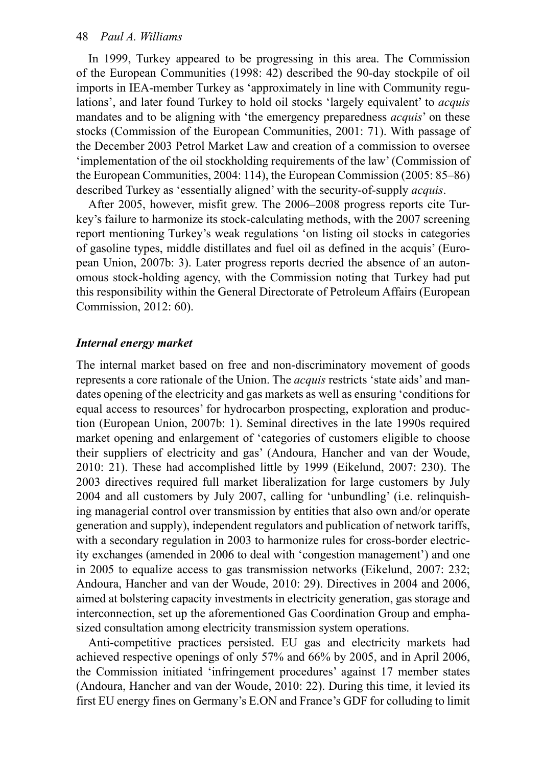In 1999, Turkey appeared to be progressing in this area. The Commission of the European Communities (1998: 42) described the 90-day stockpile of oil imports in IEA-member Turkey as 'approximately in line with Community regulations', and later found Turkey to hold oil stocks 'largely equivalent' to *acquis* mandates and to be aligning with 'the emergency preparedness *acquis* ' on these stocks (Commission of the European Communities, 2001: 71). With passage of the December 2003 Petrol Market Law and creation of a commission to oversee 'implementation of the oil stockholding requirements of the law' (Commission of the European Communities, 2004: 114), the European Commission (2005: 85–86) described Turkey as 'essentially aligned' with the security-of-supply *acquis* .

 After 2005, however, misfit grew. The 2006–2008 progress reports cite Turkey's failure to harmonize its stock-calculating methods, with the 2007 screening report mentioning Turkey's weak regulations 'on listing oil stocks in categories of gasoline types, middle distillates and fuel oil as defined in the acquis' (European Union, 2007b: 3). Later progress reports decried the absence of an autonomous stock-holding agency, with the Commission noting that Turkey had put this responsibility within the General Directorate of Petroleum Affairs (European Commission, 2012: 60).

#### *Internal energy market*

 The internal market based on free and non-discriminatory movement of goods represents a core rationale of the Union. The *acquis* restricts 'state aids' and mandates opening of the electricity and gas markets as well as ensuring 'conditions for equal access to resources' for hydrocarbon prospecting, exploration and production (European Union, 2007b: 1). Seminal directives in the late 1990s required market opening and enlargement of 'categories of customers eligible to choose their suppliers of electricity and gas' (Andoura, Hancher and van der Woude, 2010: 21). These had accomplished little by 1999 (Eikelund, 2007: 230). The 2003 directives required full market liberalization for large customers by July 2004 and all customers by July 2007, calling for 'unbundling' (i.e. relinquishing managerial control over transmission by entities that also own and/or operate generation and supply), independent regulators and publication of network tariffs, with a secondary regulation in 2003 to harmonize rules for cross-border electricity exchanges (amended in 2006 to deal with 'congestion management') and one in 2005 to equalize access to gas transmission networks (Eikelund, 2007: 232; Andoura, Hancher and van der Woude, 2010: 29). Directives in 2004 and 2006, aimed at bolstering capacity investments in electricity generation, gas storage and interconnection, set up the aforementioned Gas Coordination Group and emphasized consultation among electricity transmission system operations.

 Anti-competitive practices persisted. EU gas and electricity markets had achieved respective openings of only 57% and 66% by 2005, and in April 2006, the Commission initiated 'infringement procedures' against 17 member states (Andoura, Hancher and van der Woude, 2010: 22). During this time, it levied its first EU energy fines on Germany's E.ON and France's GDF for colluding to limit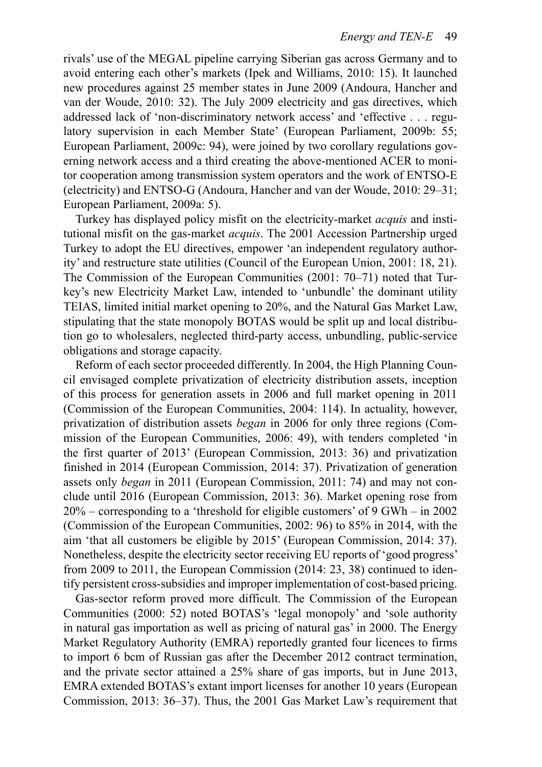rivals' use of the MEGAL pipeline carrying Siberian gas across Germany and to avoid entering each other's markets (Ipek and Williams, 2010: 15). It launched new procedures against 25 member states in June 2009 (Andoura, Hancher and van der Woude, 2010: 32). The July 2009 electricity and gas directives, which addressed lack of 'non-discriminatory network access' and 'effective . . . regulatory supervision in each Member State' (European Parliament, 2009b: 55; European Parliament, 2009c: 94), were joined by two corollary regulations governing network access and a third creating the above-mentioned ACER to monitor cooperation among transmission system operators and the work of ENTSO-E (electricity) and ENTSO-G (Andoura, Hancher and van der Woude, 2010: 29–31; European Parliament, 2009a: 5).

 Turkey has displayed policy misfit on the electricity-market *acquis* and institutional misfit on the gas-market *acquis* . The 2001 Accession Partnership urged Turkey to adopt the EU directives, empower 'an independent regulatory authority' and restructure state utilities (Council of the European Union, 2001: 18, 21). The Commission of the European Communities (2001: 70–71) noted that Turkey's new Electricity Market Law, intended to 'unbundle' the dominant utility TEIAS, limited initial market opening to 20%, and the Natural Gas Market Law, stipulating that the state monopoly BOTAS would be split up and local distribution go to wholesalers, neglected third-party access, unbundling, public-service obligations and storage capacity.

 Reform of each sector proceeded differently. In 2004, the High Planning Council envisaged complete privatization of electricity distribution assets, inception of this process for generation assets in 2006 and full market opening in 2011 (Commission of the European Communities, 2004: 114). In actuality, however, privatization of distribution assets *began* in 2006 for only three regions (Commission of the European Communities, 2006: 49), with tenders completed 'in the first quarter of 2013' (European Commission, 2013: 36) and privatization finished in 2014 (European Commission, 2014: 37). Privatization of generation assets only *began* in 2011 (European Commission, 2011: 74) and may not conclude until 2016 (European Commission, 2013: 36). Market opening rose from 20% – corresponding to a 'threshold for eligible customers' of 9 GWh – in 2002 (Commission of the European Communities, 2002: 96) to 85% in 2014, with the aim 'that all customers be eligible by 2015' (European Commission, 2014: 37). Nonetheless, despite the electricity sector receiving EU reports of 'good progress' from 2009 to 2011, the European Commission (2014: 23, 38) continued to identify persistent cross-subsidies and improper implementation of cost-based pricing.

 Gas-sector reform proved more difficult. The Commission of the European Communities (2000: 52) noted BOTAS's 'legal monopoly' and 'sole authority in natural gas importation as well as pricing of natural gas' in 2000. The Energy Market Regulatory Authority (EMRA) reportedly granted four licences to firms to import 6 bcm of Russian gas after the December 2012 contract termination, and the private sector attained a 25% share of gas imports, but in June 2013, EMRA extended BOTAS's extant import licenses for another 10 years (European Commission, 2013: 36–37). Thus, the 2001 Gas Market Law's requirement that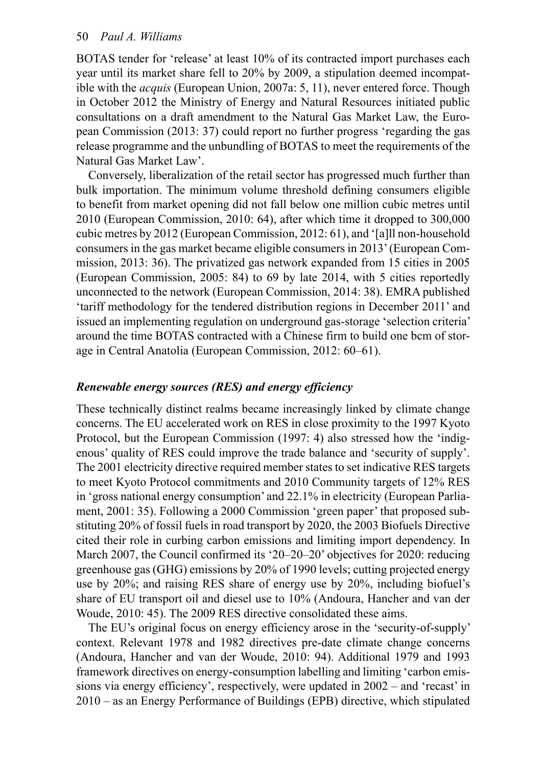BOTAS tender for 'release' at least 10% of its contracted import purchases each year until its market share fell to 20% by 2009, a stipulation deemed incompatible with the *acquis* (European Union, 2007a: 5, 11), never entered force. Though in October 2012 the Ministry of Energy and Natural Resources initiated public consultations on a draft amendment to the Natural Gas Market Law, the European Commission (2013: 37) could report no further progress 'regarding the gas release programme and the unbundling of BOTAS to meet the requirements of the Natural Gas Market Law'.

 Conversely, liberalization of the retail sector has progressed much further than bulk importation. The minimum volume threshold defining consumers eligible to benefit from market opening did not fall below one million cubic metres until 2010 (European Commission, 2010: 64), after which time it dropped to 300,000 cubic metres by 2012 (European Commission, 2012: 61), and '[a]ll non-household consumers in the gas market became eligible consumers in 2013' (European Commission, 2013: 36). The privatized gas network expanded from 15 cities in 2005 (European Commission, 2005: 84) to 69 by late 2014, with 5 cities reportedly unconnected to the network (European Commission, 2014: 38). EMRA published 'tariff methodology for the tendered distribution regions in December 2011' and issued an implementing regulation on underground gas-storage 'selection criteria' around the time BOTAS contracted with a Chinese firm to build one bcm of storage in Central Anatolia (European Commission, 2012: 60–61).

### *Renewable energy sources (RES) and energy efficiency*

 These technically distinct realms became increasingly linked by climate change concerns. The EU accelerated work on RES in close proximity to the 1997 Kyoto Protocol, but the European Commission (1997: 4) also stressed how the 'indigenous' quality of RES could improve the trade balance and 'security of supply'. The 2001 electricity directive required member states to set indicative RES targets to meet Kyoto Protocol commitments and 2010 Community targets of 12% RES in 'gross national energy consumption' and 22.1% in electricity (European Parliament, 2001: 35). Following a 2000 Commission 'green paper' that proposed substituting 20% of fossil fuels in road transport by 2020, the 2003 Biofuels Directive cited their role in curbing carbon emissions and limiting import dependency. In March 2007, the Council confirmed its '20–20–20' objectives for 2020: reducing greenhouse gas (GHG) emissions by 20% of 1990 levels; cutting projected energy use by 20%; and raising RES share of energy use by 20%, including biofuel's share of EU transport oil and diesel use to 10% (Andoura, Hancher and van der Woude, 2010: 45). The 2009 RES directive consolidated these aims.

 The EU's original focus on energy efficiency arose in the 'security-of-supply' context. Relevant 1978 and 1982 directives pre-date climate change concerns (Andoura, Hancher and van der Woude, 2010: 94). Additional 1979 and 1993 framework directives on energy-consumption labelling and limiting 'carbon emissions via energy efficiency', respectively, were updated in 2002 – and 'recast' in 2010 – as an Energy Performance of Buildings (EPB) directive, which stipulated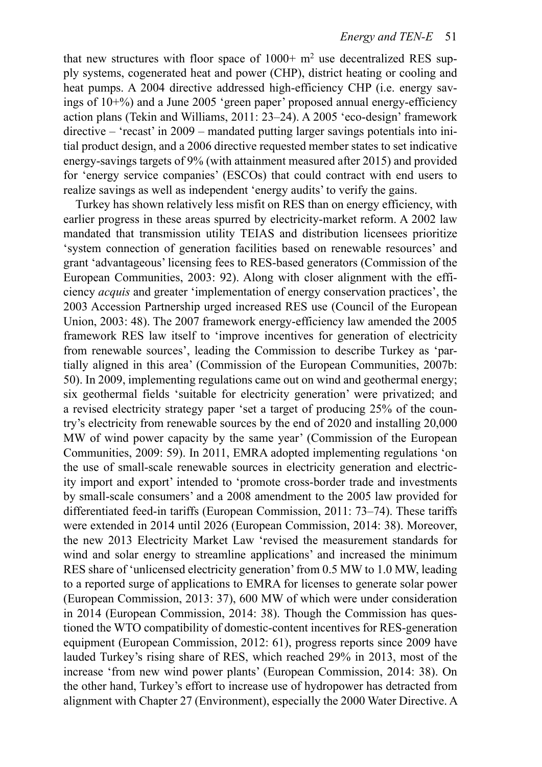that new structures with floor space of  $1000+ m<sup>2</sup>$  use decentralized RES supply systems, cogenerated heat and power (CHP), district heating or cooling and heat pumps. A 2004 directive addressed high-efficiency CHP (i.e. energy savings of 10+%) and a June 2005 'green paper' proposed annual energy-efficiency action plans (Tekin and Williams, 2011: 23–24). A 2005 'eco-design' framework directive – 'recast' in 2009 – mandated putting larger savings potentials into initial product design, and a 2006 directive requested member states to set indicative energy-savings targets of 9% (with attainment measured after 2015) and provided for 'energy service companies' (ESCOs) that could contract with end users to realize savings as well as independent 'energy audits' to verify the gains.

 Turkey has shown relatively less misfit on RES than on energy efficiency, with earlier progress in these areas spurred by electricity-market reform. A 2002 law mandated that transmission utility TEIAS and distribution licensees prioritize 'system connection of generation facilities based on renewable resources' and grant 'advantageous' licensing fees to RES-based generators (Commission of the European Communities, 2003: 92). Along with closer alignment with the efficiency *acquis* and greater 'implementation of energy conservation practices', the 2003 Accession Partnership urged increased RES use (Council of the European Union, 2003: 48). The 2007 framework energy-efficiency law amended the 2005 framework RES law itself to 'improve incentives for generation of electricity from renewable sources', leading the Commission to describe Turkey as 'partially aligned in this area' (Commission of the European Communities, 2007b: 50). In 2009, implementing regulations came out on wind and geothermal energy; six geothermal fields 'suitable for electricity generation' were privatized; and a revised electricity strategy paper 'set a target of producing 25% of the country's electricity from renewable sources by the end of 2020 and installing 20,000 MW of wind power capacity by the same year' (Commission of the European Communities, 2009: 59). In 2011, EMRA adopted implementing regulations 'on the use of small-scale renewable sources in electricity generation and electricity import and export' intended to 'promote cross-border trade and investments by small-scale consumers' and a 2008 amendment to the 2005 law provided for differentiated feed-in tariffs (European Commission, 2011: 73–74). These tariffs were extended in 2014 until 2026 (European Commission, 2014: 38). Moreover, the new 2013 Electricity Market Law 'revised the measurement standards for wind and solar energy to streamline applications' and increased the minimum RES share of 'unlicensed electricity generation' from 0.5 MW to 1.0 MW, leading to a reported surge of applications to EMRA for licenses to generate solar power (European Commission, 2013: 37), 600 MW of which were under consideration in 2014 (European Commission, 2014: 38). Though the Commission has questioned the WTO compatibility of domestic-content incentives for RES-generation equipment (European Commission, 2012: 61), progress reports since 2009 have lauded Turkey's rising share of RES, which reached 29% in 2013, most of the increase 'from new wind power plants' (European Commission, 2014: 38). On the other hand, Turkey's effort to increase use of hydropower has detracted from alignment with Chapter 27 (Environment), especially the 2000 Water Directive. A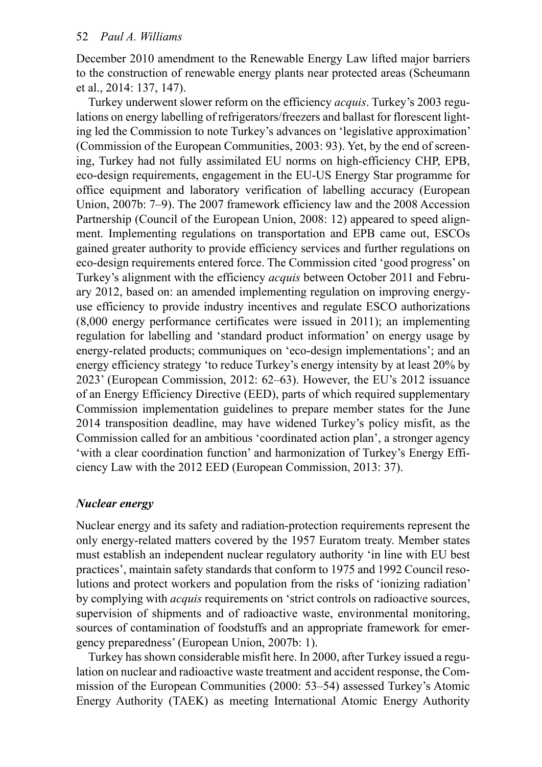December 2010 amendment to the Renewable Energy Law lifted major barriers to the construction of renewable energy plants near protected areas (Scheumann et al., 2014: 137, 147).

 Turkey underwent slower reform on the efficiency *acquis* . Turkey's 2003 regulations on energy labelling of refrigerators/freezers and ballast for florescent lighting led the Commission to note Turkey's advances on 'legislative approximation' (Commission of the European Communities, 2003: 93). Yet, by the end of screening, Turkey had not fully assimilated EU norms on high-efficiency CHP, EPB, eco-design requirements, engagement in the EU-US Energy Star programme for office equipment and laboratory verification of labelling accuracy (European Union, 2007b: 7–9). The 2007 framework efficiency law and the 2008 Accession Partnership (Council of the European Union, 2008: 12) appeared to speed alignment. Implementing regulations on transportation and EPB came out, ESCOs gained greater authority to provide efficiency services and further regulations on eco-design requirements entered force. The Commission cited 'good progress' on Turkey's alignment with the efficiency *acquis* between October 2011 and February 2012, based on: an amended implementing regulation on improving energyuse efficiency to provide industry incentives and regulate ESCO authorizations (8,000 energy performance certificates were issued in 2011); an implementing regulation for labelling and 'standard product information' on energy usage by energy-related products; communiques on 'eco-design implementations'; and an energy efficiency strategy 'to reduce Turkey's energy intensity by at least 20% by 2023' (European Commission, 2012: 62–63). However, the EU's 2012 issuance of an Energy Efficiency Directive (EED), parts of which required supplementary Commission implementation guidelines to prepare member states for the June 2014 transposition deadline, may have widened Turkey's policy misfit, as the Commission called for an ambitious 'coordinated action plan', a stronger agency 'with a clear coordination function' and harmonization of Turkey's Energy Efficiency Law with the 2012 EED (European Commission, 2013: 37).

### *Nuclear energy*

 Nuclear energy and its safety and radiation-protection requirements represent the only energy-related matters covered by the 1957 Euratom treaty. Member states must establish an independent nuclear regulatory authority 'in line with EU best practices', maintain safety standards that conform to 1975 and 1992 Council resolutions and protect workers and population from the risks of 'ionizing radiation' by complying with *acquis* requirements on 'strict controls on radioactive sources, supervision of shipments and of radioactive waste, environmental monitoring, sources of contamination of foodstuffs and an appropriate framework for emergency preparedness' (European Union, 2007b: 1).

 Turkey has shown considerable misfit here. In 2000, after Turkey issued a regulation on nuclear and radioactive waste treatment and accident response, the Commission of the European Communities (2000: 53–54) assessed Turkey's Atomic Energy Authority (TAEK) as meeting International Atomic Energy Authority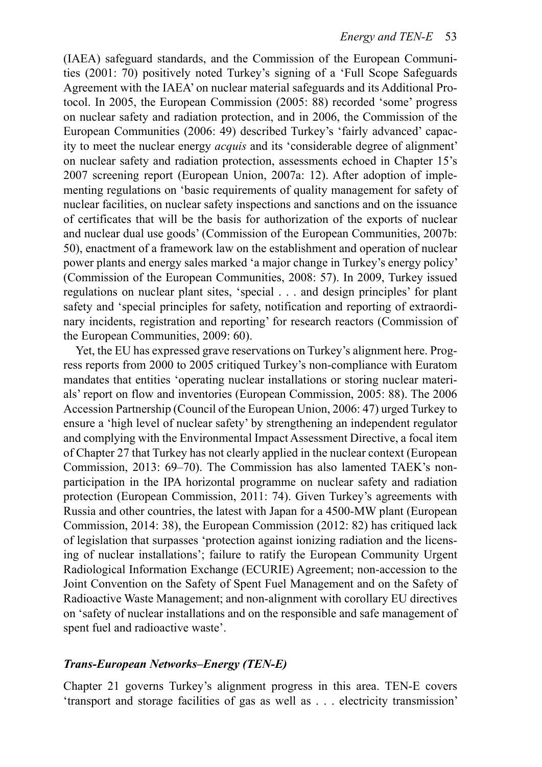(IAEA) safeguard standards, and the Commission of the European Communities (2001: 70) positively noted Turkey's signing of a 'Full Scope Safeguards Agreement with the IAEA' on nuclear material safeguards and its Additional Protocol. In 2005, the European Commission (2005: 88) recorded 'some' progress on nuclear safety and radiation protection, and in 2006, the Commission of the European Communities (2006: 49) described Turkey's 'fairly advanced' capacity to meet the nuclear energy *acquis* and its 'considerable degree of alignment' on nuclear safety and radiation protection, assessments echoed in Chapter 15's 2007 screening report (European Union, 2007a: 12). After adoption of implementing regulations on 'basic requirements of quality management for safety of nuclear facilities, on nuclear safety inspections and sanctions and on the issuance of certificates that will be the basis for authorization of the exports of nuclear and nuclear dual use goods' (Commission of the European Communities, 2007b: 50), enactment of a framework law on the establishment and operation of nuclear power plants and energy sales marked 'a major change in Turkey's energy policy' (Commission of the European Communities, 2008: 57). In 2009, Turkey issued regulations on nuclear plant sites, 'special . . . and design principles' for plant safety and 'special principles for safety, notification and reporting of extraordinary incidents, registration and reporting' for research reactors (Commission of the European Communities, 2009: 60).

 Yet, the EU has expressed grave reservations on Turkey's alignment here. Progress reports from 2000 to 2005 critiqued Turkey's non-compliance with Euratom mandates that entities 'operating nuclear installations or storing nuclear materials' report on flow and inventories (European Commission, 2005: 88). The 2006 Accession Partnership (Council of the European Union, 2006: 47) urged Turkey to ensure a 'high level of nuclear safety' by strengthening an independent regulator and complying with the Environmental Impact Assessment Directive, a focal item of Chapter 27 that Turkey has not clearly applied in the nuclear context (European Commission, 2013: 69–70). The Commission has also lamented TAEK's nonparticipation in the IPA horizontal programme on nuclear safety and radiation protection (European Commission, 2011: 74). Given Turkey's agreements with Russia and other countries, the latest with Japan for a 4500-MW plant (European Commission, 2014: 38), the European Commission (2012: 82) has critiqued lack of legislation that surpasses 'protection against ionizing radiation and the licensing of nuclear installations'; failure to ratify the European Community Urgent Radiological Information Exchange (ECURIE) Agreement; non-accession to the Joint Convention on the Safety of Spent Fuel Management and on the Safety of Radioactive Waste Management; and non-alignment with corollary EU directives on 'safety of nuclear installations and on the responsible and safe management of spent fuel and radioactive waste'.

### *Trans-European Networks‒Energy (TEN-E)*

 Chapter 21 governs Turkey's alignment progress in this area. TEN-E covers 'transport and storage facilities of gas as well as . . . electricity transmission'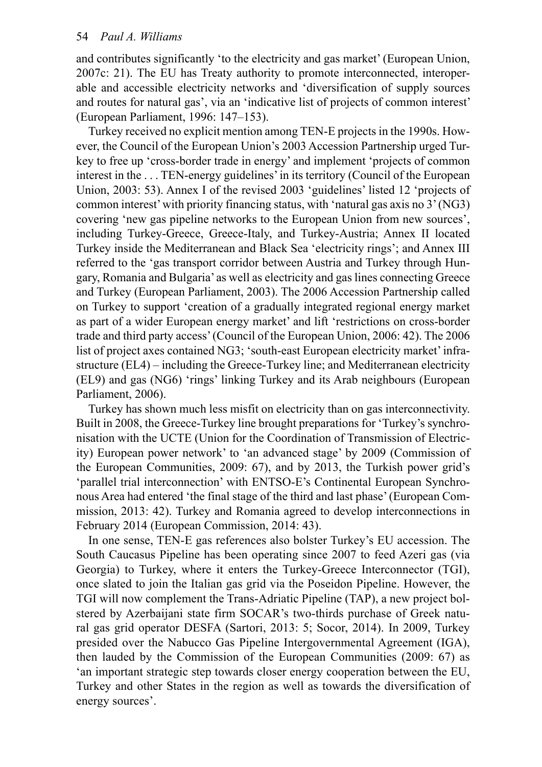and contributes significantly 'to the electricity and gas market' (European Union, 2007c: 21). The EU has Treaty authority to promote interconnected, interoperable and accessible electricity networks and 'diversification of supply sources and routes for natural gas', via an 'indicative list of projects of common interest' (European Parliament, 1996: 147–153).

 Turkey received no explicit mention among TEN-E projects in the 1990s. However, the Council of the European Union's 2003 Accession Partnership urged Turkey to free up 'cross-border trade in energy' and implement 'projects of common interest in the . . . TEN-energy guidelines' in its territory (Council of the European Union, 2003: 53). Annex I of the revised 2003 'guidelines' listed 12 'projects of common interest' with priority financing status, with 'natural gas axis no 3' (NG3) covering 'new gas pipeline networks to the European Union from new sources', including Turkey-Greece, Greece-Italy, and Turkey-Austria; Annex II located Turkey inside the Mediterranean and Black Sea 'electricity rings'; and Annex III referred to the 'gas transport corridor between Austria and Turkey through Hungary, Romania and Bulgaria' as well as electricity and gas lines connecting Greece and Turkey (European Parliament, 2003). The 2006 Accession Partnership called on Turkey to support 'creation of a gradually integrated regional energy market as part of a wider European energy market' and lift 'restrictions on cross-border trade and third party access' (Council of the European Union, 2006: 42). The 2006 list of project axes contained NG3; 'south-east European electricity market' infrastructure (EL4) – including the Greece-Turkey line; and Mediterranean electricity (EL9) and gas (NG6) 'rings' linking Turkey and its Arab neighbours (European Parliament, 2006).

 Turkey has shown much less misfit on electricity than on gas interconnectivity. Built in 2008, the Greece-Turkey line brought preparations for 'Turkey's synchronisation with the UCTE (Union for the Coordination of Transmission of Electricity) European power network' to 'an advanced stage' by 2009 (Commission of the European Communities, 2009: 67), and by 2013, the Turkish power grid's 'parallel trial interconnection' with ENTSO-E's Continental European Synchronous Area had entered 'the final stage of the third and last phase' (European Commission, 2013: 42). Turkey and Romania agreed to develop interconnections in February 2014 (European Commission, 2014: 43).

 In one sense, TEN-E gas references also bolster Turkey's EU accession. The South Caucasus Pipeline has been operating since 2007 to feed Azeri gas (via Georgia) to Turkey, where it enters the Turkey-Greece Interconnector (TGI), once slated to join the Italian gas grid via the Poseidon Pipeline. However, the TGI will now complement the Trans-Adriatic Pipeline (TAP), a new project bolstered by Azerbaijani state firm SOCAR's two-thirds purchase of Greek natural gas grid operator DESFA (Sartori, 2013: 5; Socor, 2014). In 2009, Turkey presided over the Nabucco Gas Pipeline Intergovernmental Agreement (IGA), then lauded by the Commission of the European Communities (2009: 67) as 'an important strategic step towards closer energy cooperation between the EU, Turkey and other States in the region as well as towards the diversification of energy sources'.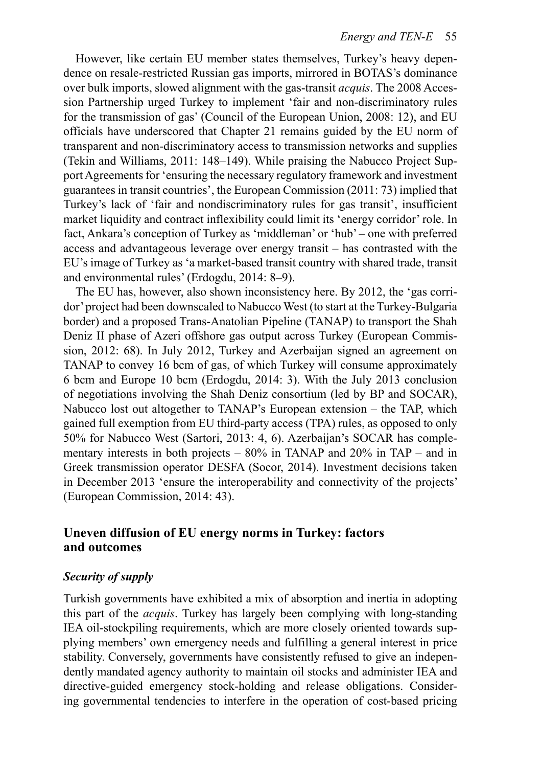However, like certain EU member states themselves, Turkey's heavy dependence on resale-restricted Russian gas imports, mirrored in BOTAS's dominance over bulk imports, slowed alignment with the gas-transit *acquis* . The 2008 Accession Partnership urged Turkey to implement 'fair and non-discriminatory rules for the transmission of gas' (Council of the European Union, 2008: 12), and EU officials have underscored that Chapter 21 remains guided by the EU norm of transparent and non-discriminatory access to transmission networks and supplies (Tekin and Williams, 2011: 148–149). While praising the Nabucco Project Support Agreements for 'ensuring the necessary regulatory framework and investment guarantees in transit countries', the European Commission (2011: 73) implied that Turkey's lack of 'fair and nondiscriminatory rules for gas transit', insufficient market liquidity and contract inflexibility could limit its 'energy corridor' role. In fact, Ankara's conception of Turkey as 'middleman' or 'hub' – one with preferred access and advantageous leverage over energy transit – has contrasted with the EU's image of Turkey as 'a market-based transit country with shared trade, transit and environmental rules' (Erdogdu, 2014: 8–9).

 The EU has, however, also shown inconsistency here. By 2012, the 'gas corridor' project had been downscaled to Nabucco West (to start at the Turkey-Bulgaria border) and a proposed Trans-Anatolian Pipeline (TANAP) to transport the Shah Deniz II phase of Azeri offshore gas output across Turkey (European Commission, 2012: 68). In July 2012, Turkey and Azerbaijan signed an agreement on TANAP to convey 16 bcm of gas, of which Turkey will consume approximately 6 bcm and Europe 10 bcm (Erdogdu, 2014: 3). With the July 2013 conclusion of negotiations involving the Shah Deniz consortium (led by BP and SOCAR), Nabucco lost out altogether to TANAP's European extension – the TAP, which gained full exemption from EU third-party access (TPA) rules, as opposed to only 50% for Nabucco West (Sartori, 2013: 4, 6). Azerbaijan's SOCAR has complementary interests in both projects – 80% in TANAP and 20% in TAP – and in Greek transmission operator DESFA (Socor, 2014). Investment decisions taken in December 2013 'ensure the interoperability and connectivity of the projects' (European Commission, 2014: 43).

# **Uneven diffusion of EU energy norms in Turkey: factors and outcomes**

### *Security of supply*

 Turkish governments have exhibited a mix of absorption and inertia in adopting this part of the *acquis* . Turkey has largely been complying with long-standing IEA oil-stockpiling requirements, which are more closely oriented towards supplying members' own emergency needs and fulfilling a general interest in price stability. Conversely, governments have consistently refused to give an independently mandated agency authority to maintain oil stocks and administer IEA and directive-guided emergency stock-holding and release obligations. Considering governmental tendencies to interfere in the operation of cost-based pricing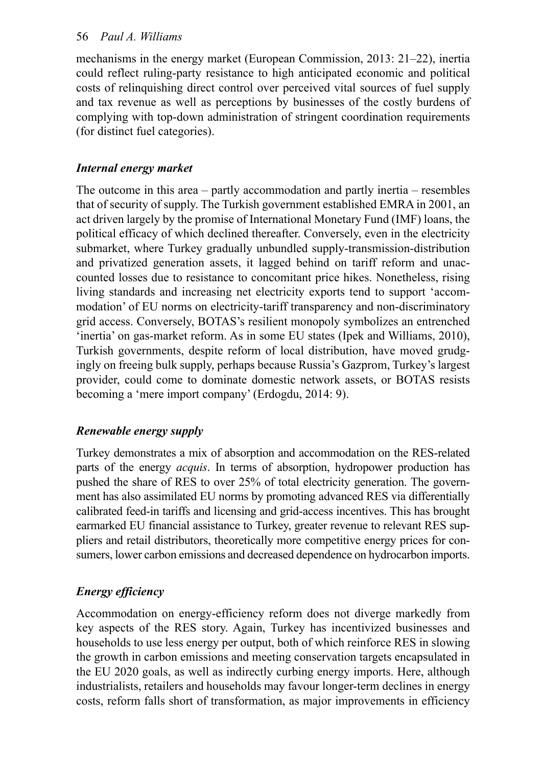mechanisms in the energy market (European Commission, 2013: 21–22), inertia could reflect ruling-party resistance to high anticipated economic and political costs of relinquishing direct control over perceived vital sources of fuel supply and tax revenue as well as perceptions by businesses of the costly burdens of complying with top-down administration of stringent coordination requirements (for distinct fuel categories).

# *Internal energy market*

 The outcome in this area – partly accommodation and partly inertia – resembles that of security of supply. The Turkish government established EMRA in 2001, an act driven largely by the promise of International Monetary Fund (IMF) loans, the political efficacy of which declined thereafter. Conversely, even in the electricity submarket, where Turkey gradually unbundled supply-transmission-distribution and privatized generation assets, it lagged behind on tariff reform and unaccounted losses due to resistance to concomitant price hikes. Nonetheless, rising living standards and increasing net electricity exports tend to support 'accommodation' of EU norms on electricity-tariff transparency and non-discriminatory grid access. Conversely, BOTAS's resilient monopoly symbolizes an entrenched 'inertia' on gas-market reform. As in some EU states (Ipek and Williams, 2010), Turkish governments, despite reform of local distribution, have moved grudgingly on freeing bulk supply, perhaps because Russia's Gazprom, Turkey's largest provider, could come to dominate domestic network assets, or BOTAS resists becoming a 'mere import company' (Erdogdu, 2014: 9).

# *Renewable energy supply*

 Turkey demonstrates a mix of absorption and accommodation on the RES-related parts of the energy *acquis* . In terms of absorption, hydropower production has pushed the share of RES to over 25% of total electricity generation. The government has also assimilated EU norms by promoting advanced RES via differentially calibrated feed-in tariffs and licensing and grid-access incentives. This has brought earmarked EU financial assistance to Turkey, greater revenue to relevant RES suppliers and retail distributors, theoretically more competitive energy prices for consumers, lower carbon emissions and decreased dependence on hydrocarbon imports.

# *Energy efficiency*

 Accommodation on energy-efficiency reform does not diverge markedly from key aspects of the RES story. Again, Turkey has incentivized businesses and households to use less energy per output, both of which reinforce RES in slowing the growth in carbon emissions and meeting conservation targets encapsulated in the EU 2020 goals, as well as indirectly curbing energy imports. Here, although industrialists, retailers and households may favour longer-term declines in energy costs, reform falls short of transformation, as major improvements in efficiency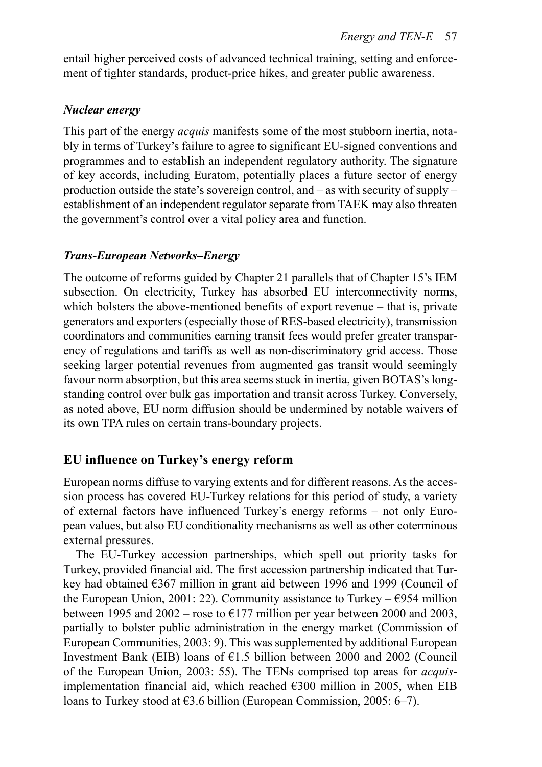entail higher perceived costs of advanced technical training, setting and enforcement of tighter standards, product-price hikes, and greater public awareness.

## *Nuclear energy*

 This part of the energy *acquis* manifests some of the most stubborn inertia, notably in terms of Turkey's failure to agree to significant EU-signed conventions and programmes and to establish an independent regulatory authority. The signature of key accords, including Euratom, potentially places a future sector of energy production outside the state's sovereign control, and – as with security of supply – establishment of an independent regulator separate from TAEK may also threaten the government's control over a vital policy area and function.

## *Trans-European Networks‒Energy*

 The outcome of reforms guided by Chapter 21 parallels that of Chapter 15's IEM subsection. On electricity, Turkey has absorbed EU interconnectivity norms, which bolsters the above-mentioned benefits of export revenue – that is, private generators and exporters (especially those of RES-based electricity), transmission coordinators and communities earning transit fees would prefer greater transparency of regulations and tariffs as well as non-discriminatory grid access. Those seeking larger potential revenues from augmented gas transit would seemingly favour norm absorption, but this area seems stuck in inertia, given BOTAS's longstanding control over bulk gas importation and transit across Turkey. Conversely, as noted above, EU norm diffusion should be undermined by notable waivers of its own TPA rules on certain trans-boundary projects.

# **EU influence on Turkey's energy reform**

 European norms diffuse to varying extents and for different reasons. As the accession process has covered EU-Turkey relations for this period of study, a variety of external factors have influenced Turkey's energy reforms – not only European values, but also EU conditionality mechanisms as well as other coterminous external pressures.

 The EU-Turkey accession partnerships, which spell out priority tasks for Turkey, provided financial aid. The first accession partnership indicated that Turkey had obtained €367 million in grant aid between 1996 and 1999 (Council of the European Union, 2001: 22). Community assistance to Turkey –  $\epsilon$ 954 million between 1995 and 2002 – rose to  $\epsilon$ 177 million per year between 2000 and 2003, partially to bolster public administration in the energy market (Commission of European Communities, 2003: 9). This was supplemented by additional European Investment Bank (EIB) loans of  $\epsilon$ 1.5 billion between 2000 and 2002 (Council of the European Union, 2003: 55). The TENs comprised top areas for *acquis* implementation financial aid, which reached  $\epsilon$ 300 million in 2005, when EIB loans to Turkey stood at  $63.6$  billion (European Commission, 2005: 6–7).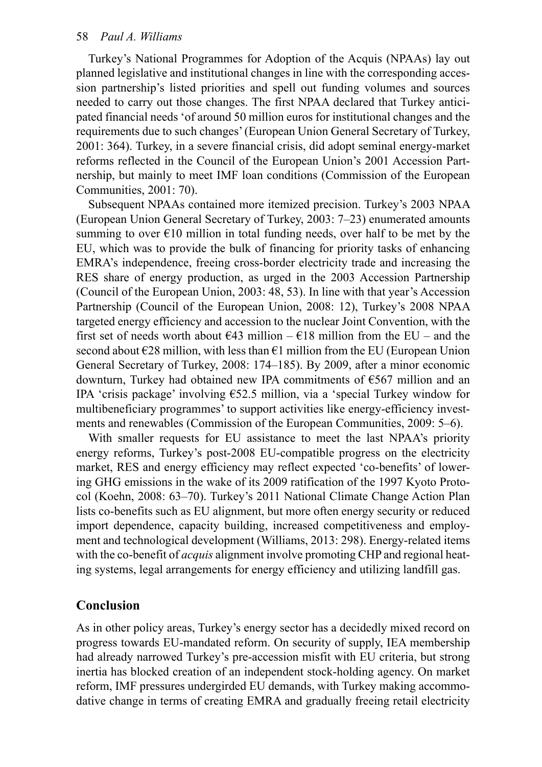Turkey's National Programmes for Adoption of the Acquis (NPAAs) lay out planned legislative and institutional changes in line with the corresponding accession partnership's listed priorities and spell out funding volumes and sources needed to carry out those changes. The first NPAA declared that Turkey anticipated financial needs 'of around 50 million euros for institutional changes and the requirements due to such changes' (European Union General Secretary of Turkey, 2001: 364). Turkey, in a severe financial crisis, did adopt seminal energy-market reforms reflected in the Council of the European Union's 2001 Accession Partnership, but mainly to meet IMF loan conditions (Commission of the European Communities, 2001: 70).

 Subsequent NPAAs contained more itemized precision. Turkey's 2003 NPAA (European Union General Secretary of Turkey, 2003: 7–23) enumerated amounts summing to over  $\epsilon$ 10 million in total funding needs, over half to be met by the EU, which was to provide the bulk of financing for priority tasks of enhancing EMRA's independence, freeing cross-border electricity trade and increasing the RES share of energy production, as urged in the 2003 Accession Partnership (Council of the European Union, 2003: 48, 53). In line with that year's Accession Partnership (Council of the European Union, 2008: 12), Turkey's 2008 NPAA targeted energy efficiency and accession to the nuclear Joint Convention, with the first set of needs worth about  $\epsilon$ 43 million –  $\epsilon$ 18 million from the EU – and the second about  $\epsilon$ 28 million, with less than  $\epsilon$ 1 million from the EU (European Union General Secretary of Turkey, 2008: 174–185). By 2009, after a minor economic downturn, Turkey had obtained new IPA commitments of €567 million and an IPA 'crisis package' involving €52.5 million, via a 'special Turkey window for multibeneficiary programmes' to support activities like energy-efficiency investments and renewables (Commission of the European Communities, 2009: 5–6).

 With smaller requests for EU assistance to meet the last NPAA's priority energy reforms, Turkey's post-2008 EU-compatible progress on the electricity market, RES and energy efficiency may reflect expected 'co-benefits' of lowering GHG emissions in the wake of its 2009 ratification of the 1997 Kyoto Protocol (Koehn, 2008: 63–70). Turkey's 2011 National Climate Change Action Plan lists co-benefits such as EU alignment, but more often energy security or reduced import dependence, capacity building, increased competitiveness and employment and technological development (Williams, 2013: 298). Energy-related items with the co-benefit of *acquis* alignment involve promoting CHP and regional heating systems, legal arrangements for energy efficiency and utilizing landfill gas.

# **Conclusion**

 As in other policy areas, Turkey's energy sector has a decidedly mixed record on progress towards EU-mandated reform. On security of supply, IEA membership had already narrowed Turkey's pre-accession misfit with EU criteria, but strong inertia has blocked creation of an independent stock-holding agency. On market reform, IMF pressures undergirded EU demands, with Turkey making accommodative change in terms of creating EMRA and gradually freeing retail electricity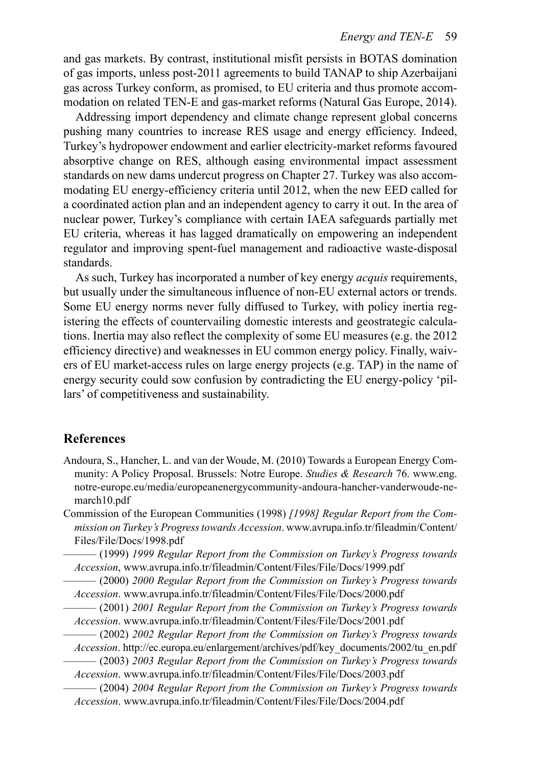and gas markets. By contrast, institutional misfit persists in BOTAS domination of gas imports, unless post-2011 agreements to build TANAP to ship Azerbaijani gas across Turkey conform, as promised, to EU criteria and thus promote accommodation on related TEN-E and gas-market reforms (Natural Gas Europe, 2014).

 Addressing import dependency and climate change represent global concerns pushing many countries to increase RES usage and energy efficiency. Indeed, Turkey's hydropower endowment and earlier electricity-market reforms favoured absorptive change on RES, although easing environmental impact assessment standards on new dams undercut progress on Chapter 27. Turkey was also accommodating EU energy-efficiency criteria until 2012, when the new EED called for a coordinated action plan and an independent agency to carry it out. In the area of nuclear power, Turkey's compliance with certain IAEA safeguards partially met EU criteria, whereas it has lagged dramatically on empowering an independent regulator and improving spent-fuel management and radioactive waste-disposal standards.

 As such, Turkey has incorporated a number of key energy *acquis* requirements, but usually under the simultaneous influence of non-EU external actors or trends. Some EU energy norms never fully diffused to Turkey, with policy inertia registering the effects of countervailing domestic interests and geostrategic calculations. Inertia may also reflect the complexity of some EU measures (e.g. the 2012 efficiency directive) and weaknesses in EU common energy policy. Finally, waivers of EU market-access rules on large energy projects (e.g. TAP) in the name of energy security could sow confusion by contradicting the EU energy-policy 'pillars' of competitiveness and sustainability.

# **References**

- Andoura, S., Hancher, L. and van der Woude, M. (2010) Towards a European Energy Community: A Policy Proposal. Brussels: Notre Europe. *Studies & Research* 76. [www.eng.](http://www.eng.notre-europe.eu/media/europeanenergycommunity-andoura-hancher-vanderwoude-ne-march10.pdf) [notre-europe.eu/media/europeanenergycommunity-andoura-hancher-vanderwoude-ne](http://www.eng.notre-europe.eu/media/europeanenergycommunity-andoura-hancher-vanderwoude-ne-march10.pdf)[march10.pdf](http://www.eng.notre-europe.eu/media/europeanenergycommunity-andoura-hancher-vanderwoude-ne-march10.pdf)
- Commission of the European Communities (1998) *[1998] Regular Report from the Commission on Turkey's Progress towards Accession* . [www.avrupa.info.tr/fileadmin/Content/](http://www.avrupa.info.tr/fileadmin/Content/Files/File/Docs/1998.pdf) [Files/File/Docs/1998.pdf](http://www.avrupa.info.tr/fileadmin/Content/Files/File/Docs/1998.pdf) 
	- ——— (1999) *1999 Regular Report from the Commission on Turkey's Progress towards Accession* , [www.avrupa.info.tr/fileadmin/Content/Files/File/Docs/1999.pdf](http://www.avrupa.info.tr/fileadmin/Content/Files/File/Docs/1999.pdf)
	- $-$  (2000) *2000 Regular Report from the Commission on Turkey's Progress towards Accession* . [www.avrupa.info.tr/fileadmin/Content/Files/File/Docs/2000.pdf](http://www.avrupa.info.tr/fileadmin/Content/Files/File/Docs/2000.pdf)
- ——— (2001) *2001 Regular Report from the Commission on Turkey's Progress towards Accession* . [www.avrupa.info.tr/fileadmin/Content/Files/File/Docs/2001.pdf](http://www.avrupa.info.tr/fileadmin/Content/Files/File/Docs/2001.pdf)
- ——— (2002) *2002 Regular Report from the Commission on Turkey's Progress towards Accession* . [http://ec.europa.eu/enlargement/archives/pdf/key\\_documents/2002/tu\\_en.pdf](http://ec.europa.eu/enlargement/archives/pdf/key_documents/2002/tu_en.pdf)  ——— (2003) *2003 Regular Report from the Commission on Turkey's Progress towards*
- *Accession* . [www.avrupa.info.tr/fileadmin/Content/Files/File/Docs/2003.pdf](http://www.avrupa.info.tr/fileadmin/Content/Files/File/Docs/2003.pdf)
- ——— (2004) *2004 Regular Report from the Commission on Turkey's Progress towards Accession* . [www.avrupa.info.tr/fileadmin/Content/Files/File/Docs/2004.pdf](http://www.avrupa.info.tr/fileadmin/Content/Files/File/Docs/2004.pdf)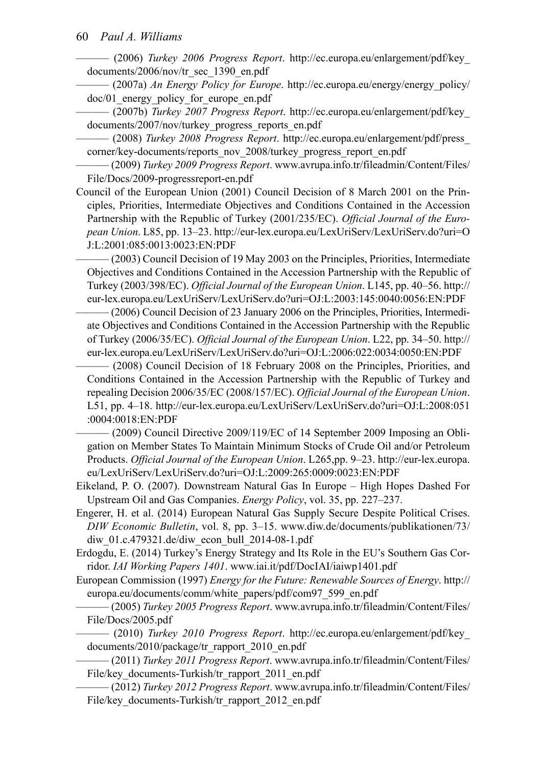——— (2006) *Turkey 2006 Progress Report* . [http://ec.europa.eu/enlargement/pdf/key\\_](http://ec.europa.eu/enlargement/pdf/key_documents/2006/nov/tr_sec_1390_en.pdf) documents/2006/nov/tr\_sec\_1390\_en.pdf

 ——— (2007a) *An Energy Policy for Europe* . [http://ec.europa.eu/energy/energy\\_policy/](http://ec.europa.eu/energy/energy_policy/doc/01_energy_policy_for_europe_en.pdf) [doc/01\\_energy\\_policy\\_for\\_europe\\_en.pdf](http://ec.europa.eu/energy/energy_policy/doc/01_energy_policy_for_europe_en.pdf) 

 ——— (2007b) *Turkey 2007 Progress Report* . [http://ec.europa.eu/enlargement/pdf/key\\_](http://ec.europa.eu/enlargement/pdf/key_documents/2007/nov/turkey_progress_reports_en.pdf) documents/2007/nov/turkey\_progress\_reports\_en.pdf

 ——— (2008) *Turkey 2008 Progress Report* . [http://ec.europa.eu/enlargement/pdf/press\\_](http://ec.europa.eu/enlargement/pdf/press_corner/key-documents/reports_nov_2008/turkey_progress_report_en.pdf) corner/key-documents/reports\_nov\_2008/turkey\_progress\_report\_en.pdf

 ——— (2009) *Turkey 2009 Progress Report* . [www.avrupa.info.tr/fileadmin/Content/Files/](http://www.avrupa.info.tr/fileadmin/Content/Files/File/Docs/2009-progressreport-en.pdf) [File/Docs/2009-progressreport-en.pdf](http://www.avrupa.info.tr/fileadmin/Content/Files/File/Docs/2009-progressreport-en.pdf) 

 Council of the European Union (2001) Council Decision of 8 March 2001 on the Principles, Priorities, Intermediate Objectives and Conditions Contained in the Accession Partnership with the Republic of Turkey (2001/235/EC). *Official Journal of the European Union* . L85, pp. 13–23. [http://eur-lex.europa.eu/LexUriServ/LexUriServ.do?uri=O](http://eur-lex.europa.eu/LexUriServ/LexUriServ.do?uri=OJ:L:2001:085:0013:0023:EN:PDF) [J:L:2001:085:0013:0023:EN:PDF](http://eur-lex.europa.eu/LexUriServ/LexUriServ.do?uri=OJ:L:2001:085:0013:0023:EN:PDF) 

 ——— (2003) Council Decision of 19 May 2003 on the Principles, Priorities, Intermediate Objectives and Conditions Contained in the Accession Partnership with the Republic of Turkey (2003/398/EC). *Official Journal of the European Union* . L145, pp. 40–56. [http://](http://eur-lex.europa.eu/LexUriServ/LexUriServ.do?uri=OJ:L:2003:145:0040:0056:EN:PDF) [eur-lex.europa.eu/LexUriServ/LexUriServ.do?uri=OJ:L:2003:145:0040:0056:EN:PDF](http://eur-lex.europa.eu/LexUriServ/LexUriServ.do?uri=OJ:L:2003:145:0040:0056:EN:PDF) 

(2006) Council Decision of 23 January 2006 on the Principles, Priorities, Intermediate Objectives and Conditions Contained in the Accession Partnership with the Republic of Turkey (2006/35/EC). *Official Journal of the European Union* . L22, pp. 34–50. [http://](http://eur-lex.europa.eu/LexUriServ/LexUriServ.do?uri=OJ:L:2006:022:0034:0050:EN:PDF) [eur-lex.europa.eu/LexUriServ/LexUriServ.do?uri=OJ:L:2006:022:0034:0050:EN:PDF](http://eur-lex.europa.eu/LexUriServ/LexUriServ.do?uri=OJ:L:2006:022:0034:0050:EN:PDF)

 ——— (2008) Council Decision of 18 February 2008 on the Principles, Priorities, and Conditions Contained in the Accession Partnership with the Republic of Turkey and repealing Decision 2006/35/EC (2008/157/EC). *Official Journal of the European Union* . L51, pp. 4–18. [http://eur-lex.europa.eu/LexUriServ/LexUriServ.do?uri=OJ:L:2008:051](http://eur-lex.europa.eu/LexUriServ/LexUriServ.do?uri=OJ:L:2008:051:0004:0018:EN:PDF) [:0004:0018:EN:PDF](http://eur-lex.europa.eu/LexUriServ/LexUriServ.do?uri=OJ:L:2008:051:0004:0018:EN:PDF) 

 ——— (2009) Council Directive 2009/119/EC of 14 September 2009 Imposing an Obligation on Member States To Maintain Minimum Stocks of Crude Oil and/or Petroleum Products. *Official Journal of the European Union* . L265,pp. 9–23. [http://eur-lex.europa.](http://eur-lex.europa.eu/LexUriServ/LexUriServ.do?uri=OJ:L:2009:265:0009:0023:EN:PDF) [eu/LexUriServ/LexUriServ.do?uri=OJ:L:2009:265:0009:0023:EN:PDF](http://eur-lex.europa.eu/LexUriServ/LexUriServ.do?uri=OJ:L:2009:265:0009:0023:EN:PDF) 

 Eikeland, P. O. (2007). Downstream Natural Gas In Europe – High Hopes Dashed For Upstream Oil and Gas Companies. *Energy Policy* , vol. 35, pp. 227–237.

 Engerer, H. et al. (2014) European Natural Gas Supply Secure Despite Political Crises. *DIW Economic Bulletin, vol.* 8, pp. 3–15. [www.diw.de/documents/publikationen/73/](http://www.diw.de/documents/publikationen/73/diw_01.c.479321.de/diw_econ_bull_2014-08-1.pdf) [diw\\_01.c.479321.de/diw\\_econ\\_bull\\_2014-08-1.pdf](http://www.diw.de/documents/publikationen/73/diw_01.c.479321.de/diw_econ_bull_2014-08-1.pdf) 

 Erdogdu, E. (2014) Turkey's Energy Strategy and Its Role in the EU's Southern Gas Corridor. *IAI Working Papers 1401* . [www.iai.it/pdf/DocIAI/iaiwp1401.pdf](http://www.iai.it/pdf/DocIAI/iaiwp1401.pdf) 

 European Commission (1997) *Energy for the Future: Renewable Sources of Energy* . [http://](http://europa.eu/documents/comm/white_papers/pdf/com97_599_en.pdf) [europa.eu/documents/comm/white\\_papers/pdf/com97\\_599\\_en.pdf](http://europa.eu/documents/comm/white_papers/pdf/com97_599_en.pdf) 

 ——— (2005) *Turkey 2005 Progress Report* . [www.avrupa.info.tr/fileadmin/Content/Files/](http://www.avrupa.info.tr/fileadmin/Content/Files/File/Docs/2005.pdf) [File/Docs/2005.pdf](http://www.avrupa.info.tr/fileadmin/Content/Files/File/Docs/2005.pdf) 

 ——— (2010) *Turkey 2010 Progress Report* . [http://ec.europa.eu/enlargement/pdf/key\\_](http://ec.europa.eu/enlargement/pdf/key_documents/2010/package/tr_rapport_2010_en.pdf) [documents/2010/package/tr\\_rapport\\_2010\\_en.pdf](http://ec.europa.eu/enlargement/pdf/key_documents/2010/package/tr_rapport_2010_en.pdf) 

 ——— (2011) *Turkey 2011 Progress Report* . [www.avrupa.info.tr/fileadmin/Content/Files/](http://www.avrupa.info.tr/fileadmin/Content/Files/File/key_documents-Turkish/tr_rapport_2011_en.pdf) File/key\_documents-Turkish/tr\_rapport\_2011\_en.pdf

 ——— (2012) *Turkey 2012 Progress Report* . [www.avrupa.info.tr/fileadmin/Content/Files/](http://www.avrupa.info.tr/fileadmin/Content/Files/File/key_documents-Turkish/tr_rapport_2012_en.pdf) [File/key\\_documents-Turkish/tr\\_rapport\\_2012\\_en.pdf](http://www.avrupa.info.tr/fileadmin/Content/Files/File/key_documents-Turkish/tr_rapport_2012_en.pdf)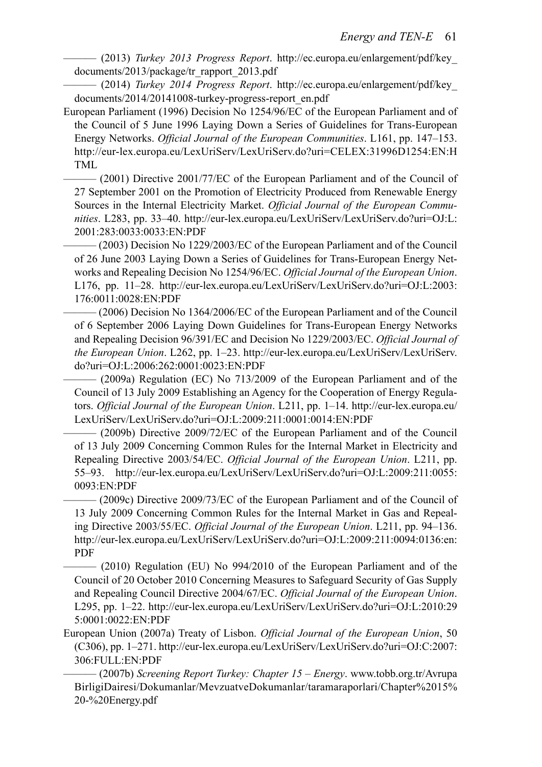- ——— (2013) *Turkey 2013 Progress Report* . [http://ec.europa.eu/enlargement/pdf/key\\_](http://ec.europa.eu/enlargement/pdf/key_documents/2013/package/tr_rapport_2013.pdf) [documents/2013/package/tr\\_rapport\\_2013.pdf](http://ec.europa.eu/enlargement/pdf/key_documents/2013/package/tr_rapport_2013.pdf)
- ——— (2014) *Turkey 2014 Progress Report* . [http://ec.europa.eu/enlargement/pdf/key\\_](http://ec.europa.eu/enlargement/pdf/key_documents/2014/20141008-turkey-progress-report_en.pdf) [documents/2014/20141008-turkey-progress-report\\_en.pdf](http://ec.europa.eu/enlargement/pdf/key_documents/2014/20141008-turkey-progress-report_en.pdf)
- European Parliament (1996) Decision No 1254/96/EC of the European Parliament and of the Council of 5 June 1996 Laying Down a Series of Guidelines for Trans-European Energy Networks. *Official Journal of the European Communities* . L161, pp. 147–153. [http://eur-lex.europa.eu/LexUriServ/LexUriServ.do?uri=CELEX:31996D1254:EN:H](http://eur-lex.europa.eu/LexUriServ/LexUriServ.do?uri=CELEX:31996D1254:EN:HTML) [TML](http://eur-lex.europa.eu/LexUriServ/LexUriServ.do?uri=CELEX:31996D1254:EN:HTML)

 ——— (2001) Directive 2001/77/EC of the European Parliament and of the Council of 27 September 2001 on the Promotion of Electricity Produced from Renewable Energy Sources in the Internal Electricity Market. *Official Journal of the European Communities* . L283, pp. 33–40. [http://eur-lex.europa.eu/LexUriServ/LexUriServ.do?uri=OJ:L:](http://eur-lex.europa.eu/LexUriServ/LexUriServ.do?uri=OJ:L:2001:283:0033:0033:EN:PDF) [2001:283:0033:0033:EN:PDF](http://eur-lex.europa.eu/LexUriServ/LexUriServ.do?uri=OJ:L:2001:283:0033:0033:EN:PDF) 

 ——— (2003) Decision No 1229/2003/EC of the European Parliament and of the Council of 26 June 2003 Laying Down a Series of Guidelines for Trans-European Energy Networks and Repealing Decision No 1254/96/EC. *Official Journal of the European Union* . L176, pp. 11–28. [http://eur-lex.europa.eu/LexUriServ/LexUriServ.do?uri=OJ:L:2003:](http://eur-lex.europa.eu/LexUriServ/LexUriServ.do?uri=OJ:L:2003:176:0011:0028:EN:PDF) [176:0011:0028:EN:PDF](http://eur-lex.europa.eu/LexUriServ/LexUriServ.do?uri=OJ:L:2003:176:0011:0028:EN:PDF) 

 ——— (2006) Decision No 1364/2006/EC of the European Parliament and of the Council of 6 September 2006 Laying Down Guidelines for Trans-European Energy Networks and Repealing Decision 96/391/EC and Decision No 1229/2003/EC. *Official Journal of the European Union* . L262, pp. 1–23. [http://eur-lex.europa.eu/LexUriServ/LexUriServ.](http://eur-lex.europa.eu/LexUriServ/LexUriServ.do?uri=OJ:L:2006:262:0001:0023:EN:PDF) [do?uri=OJ:L:2006:262:0001:0023:EN:PDF](http://eur-lex.europa.eu/LexUriServ/LexUriServ.do?uri=OJ:L:2006:262:0001:0023:EN:PDF) 

- (2009a) Regulation (EC) No 713/2009 of the European Parliament and of the Council of 13 July 2009 Establishing an Agency for the Cooperation of Energy Regulators. *Official Journal of the European Union* . L211, pp. 1–14. [http://eur-lex.europa.eu/](http://eur-lex.europa.eu/LexUriServ/LexUriServ.do?uri=OJ:L:2009:211:0001:0014:EN:PDF) [LexUriServ/LexUriServ.do?uri=OJ:L:2009:211:0001:0014:EN:PDF](http://eur-lex.europa.eu/LexUriServ/LexUriServ.do?uri=OJ:L:2009:211:0001:0014:EN:PDF)

 ——— (2009b) Directive 2009/72/EC of the European Parliament and of the Council of 13 July 2009 Concerning Common Rules for the Internal Market in Electricity and Repealing Directive 2003/54/EC. *Official Journal of the European Union* . L211, pp. 55–93. [http://eur-lex.europa.eu/LexUriServ/LexUriServ.do?uri=OJ:L:2009:211:0055:](http://eur-lex.europa.eu/LexUriServ/LexUriServ.do?uri=OJ:L:2009:211:0055:0093:EN:PDF) [0093:EN:PDF](http://eur-lex.europa.eu/LexUriServ/LexUriServ.do?uri=OJ:L:2009:211:0055:0093:EN:PDF) 

 ——— (2009c) Directive 2009/73/EC of the European Parliament and of the Council of 13 July 2009 Concerning Common Rules for the Internal Market in Gas and Repealing Directive 2003/55/EC. *Official Journal of the European Union* . L211, pp. 94–136. [http://eur-lex.europa.eu/LexUriServ/LexUriServ.do?uri=OJ:L:2009:211:0094:0136:en:](http://eur-lex.europa.eu/LexUriServ/LexUriServ.do?uri=OJ:L:2009:211:0094:0136:en:PDF) [PDF](http://eur-lex.europa.eu/LexUriServ/LexUriServ.do?uri=OJ:L:2009:211:0094:0136:en:PDF) 

- ——— (2010) Regulation (EU) No 994/2010 of the European Parliament and of the Council of 20 October 2010 Concerning Measures to Safeguard Security of Gas Supply and Repealing Council Directive 2004/67/EC. *Official Journal of the European Union* . L295, pp. 1–22. [http://eur-lex.europa.eu/LexUriServ/LexUriServ.do?uri=OJ:L:2010:29](http://eur-lex.europa.eu/LexUriServ/LexUriServ.do?uri=OJ:L:2010:295:0001:0022:EN:PDF) [5:0001:0022:EN:PDF](http://eur-lex.europa.eu/LexUriServ/LexUriServ.do?uri=OJ:L:2010:295:0001:0022:EN:PDF)
- European Union (2007a) Treaty of Lisbon. *Official Journal of the European Union* , 50 (C306), pp. 1–271. [http://eur-lex.europa.eu/LexUriServ/LexUriServ.do?uri=OJ:C:2007:](http://eur-lex.europa.eu/LexUriServ/LexUriServ.do?uri=OJ:C:2007:306:FULL:EN:PDF) [306:FULL:EN:PDF](http://eur-lex.europa.eu/LexUriServ/LexUriServ.do?uri=OJ:C:2007:306:FULL:EN:PDF) 
	- ——— (2007b) *Screening Report Turkey: Chapter 15 Energy* . [www.tobb.org.tr/Avrupa](http://www.tobb.org.tr/AvrupaBirligiDairesi/Dokumanlar/MevzuatveDokumanlar/taramaraporlari/Chapter%2015%20-%20Energy.pdf) [BirligiDairesi/Dokumanlar/MevzuatveDokumanlar/taramaraporlari/Chapter%2015%](http://www.tobb.org.tr/AvrupaBirligiDairesi/Dokumanlar/MevzuatveDokumanlar/taramaraporlari/Chapter%2015%20-%20Energy.pdf) [20-%20Energy.pdf](http://www.tobb.org.tr/AvrupaBirligiDairesi/Dokumanlar/MevzuatveDokumanlar/taramaraporlari/Chapter%2015%20-%20Energy.pdf)